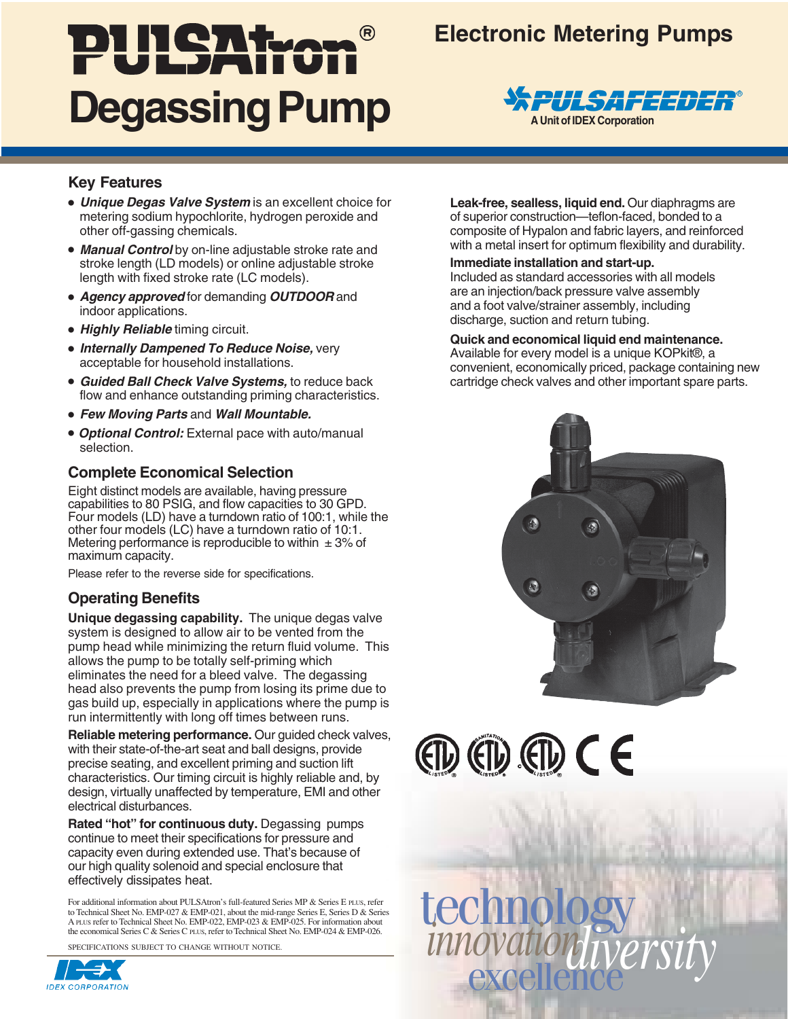# PULSATION **Degassing Pump**

# **Electronic Metering Pumps**



# **Key Features**

- **Unique Degas Valve System** is an excellent choice for metering sodium hypochlorite, hydrogen peroxide and other off-gassing chemicals.
- **Manual Control** by on-line adjustable stroke rate and stroke length (LD models) or online adjustable stroke length with fixed stroke rate (LC models).
- **Agency approved** for demanding **OUTDOOR** and indoor applications.
- **Highly Reliable** timing circuit.
- **Internally Dampened To Reduce Noise,** very acceptable for household installations.
- **Guided Ball Check Valve Systems,** to reduce back flow and enhance outstanding priming characteristics.
- **Few Moving Parts** and **Wall Mountable.**
- **Optional Control:** External pace with auto/manual selection.

# **Complete Economical Selection**

Eight distinct models are available, having pressure capabilities to 80 PSIG, and flow capacities to 30 GPD. Four models (LD) have a turndown ratio of 100:1, while the other four models (LC) have a turndown ratio of 10:1. Metering performance is reproducible to within  $\pm$  3% of maximum capacity.

Please refer to the reverse side for specifications.

# **Operating Benefits**

**Unique degassing capability.** The unique degas valve system is designed to allow air to be vented from the pump head while minimizing the return fluid volume. This allows the pump to be totally self-priming which eliminates the need for a bleed valve. The degassing head also prevents the pump from losing its prime due to gas build up, especially in applications where the pump is run intermittently with long off times between runs.

**Reliable metering performance.** Our guided check valves, with their state-of-the-art seat and ball designs, provide precise seating, and excellent priming and suction lift characteristics. Our timing circuit is highly reliable and, by design, virtually unaffected by temperature, EMI and other electrical disturbances.

**Rated "hot" for continuous duty.** Degassing pumps continue to meet their specifications for pressure and capacity even during extended use. That's because of our high quality solenoid and special enclosure that effectively dissipates heat.

For additional information about PULSAtron's full-featured Series MP & Series E pl.us, refer<br>to Technical Sheet No. EMP-027 & EMP-021, about the mid-range Series E, Series D & Series<br>A pl.us refer to Technical Sheet No. EM the economical Series C & Series C PLUS, refer to Technical Sheet No. EMP-024 & EMP-026.

SPECIFICATIONS SUBJECT TO CHANGE WITHOUT NOTICE.



**Leak-free, sealless, liquid end.** Our diaphragms are of superior construction—teflon-faced, bonded to a composite of Hypalon and fabric layers, and reinforced with a metal insert for optimum flexibility and durability.

#### **Immediate installation and start-up.**

Included as standard accessories with all models are an injection/back pressure valve assembly and a foot valve/strainer assembly, including discharge, suction and return tubing.

#### **Quick and economical liquid end maintenance.**

Available for every model is a unique KOPkit®, a convenient, economically priced, package containing new cartridge check valves and other important spare parts.



 $(D (D) (D) (D) C E$ 

excellence *diversity* technology *innovation*